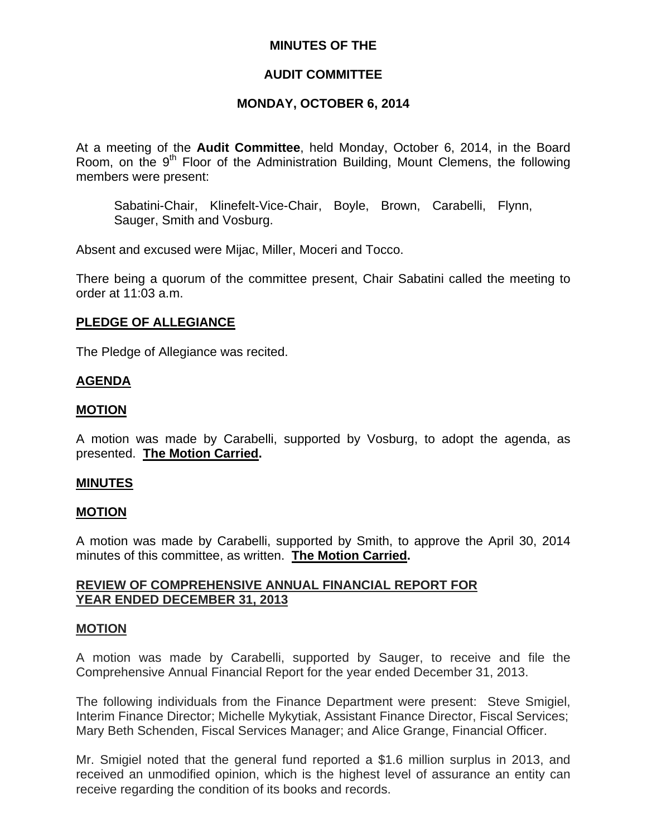## **MINUTES OF THE**

# **AUDIT COMMITTEE**

# **MONDAY, OCTOBER 6, 2014**

At a meeting of the **Audit Committee**, held Monday, October 6, 2014, in the Board Room, on the 9<sup>th</sup> Floor of the Administration Building, Mount Clemens, the following members were present:

Sabatini-Chair, Klinefelt-Vice-Chair, Boyle, Brown, Carabelli, Flynn, Sauger, Smith and Vosburg.

Absent and excused were Mijac, Miller, Moceri and Tocco.

There being a quorum of the committee present, Chair Sabatini called the meeting to order at 11:03 a.m.

## **PLEDGE OF ALLEGIANCE**

The Pledge of Allegiance was recited.

## **AGENDA**

## **MOTION**

A motion was made by Carabelli, supported by Vosburg, to adopt the agenda, as presented. **The Motion Carried.** 

#### **MINUTES**

#### **MOTION**

A motion was made by Carabelli, supported by Smith, to approve the April 30, 2014 minutes of this committee, as written. **The Motion Carried.** 

## **REVIEW OF COMPREHENSIVE ANNUAL FINANCIAL REPORT FOR YEAR ENDED DECEMBER 31, 2013**

#### **MOTION**

A motion was made by Carabelli, supported by Sauger, to receive and file the Comprehensive Annual Financial Report for the year ended December 31, 2013.

The following individuals from the Finance Department were present: Steve Smigiel, Interim Finance Director; Michelle Mykytiak, Assistant Finance Director, Fiscal Services; Mary Beth Schenden, Fiscal Services Manager; and Alice Grange, Financial Officer.

Mr. Smigiel noted that the general fund reported a \$1.6 million surplus in 2013, and received an unmodified opinion, which is the highest level of assurance an entity can receive regarding the condition of its books and records.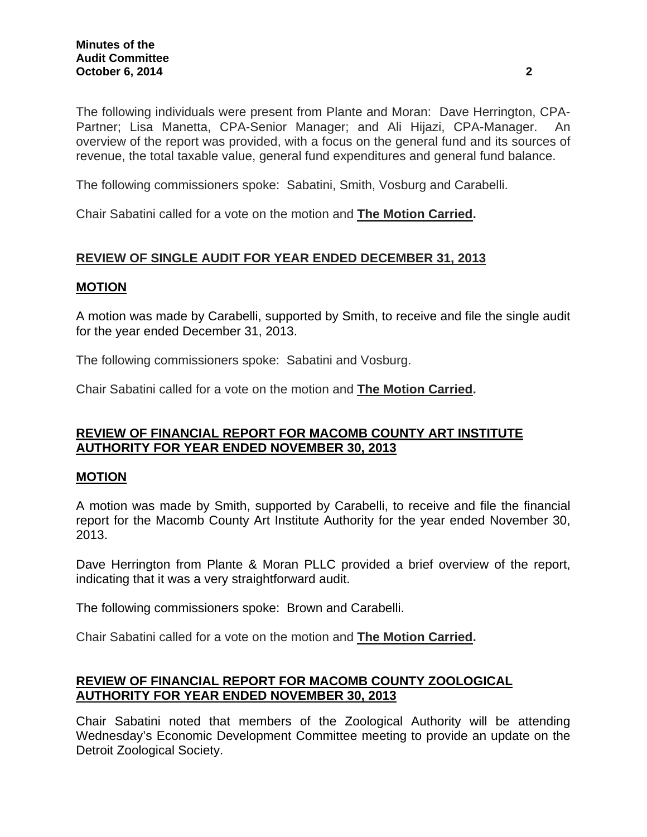The following individuals were present from Plante and Moran: Dave Herrington, CPA-Partner; Lisa Manetta, CPA-Senior Manager; and Ali Hijazi, CPA-Manager. An overview of the report was provided, with a focus on the general fund and its sources of revenue, the total taxable value, general fund expenditures and general fund balance.

The following commissioners spoke: Sabatini, Smith, Vosburg and Carabelli.

Chair Sabatini called for a vote on the motion and **The Motion Carried.** 

# **REVIEW OF SINGLE AUDIT FOR YEAR ENDED DECEMBER 31, 2013**

#### **MOTION**

A motion was made by Carabelli, supported by Smith, to receive and file the single audit for the year ended December 31, 2013.

The following commissioners spoke: Sabatini and Vosburg.

Chair Sabatini called for a vote on the motion and **The Motion Carried.** 

## **REVIEW OF FINANCIAL REPORT FOR MACOMB COUNTY ART INSTITUTE AUTHORITY FOR YEAR ENDED NOVEMBER 30, 2013**

#### **MOTION**

A motion was made by Smith, supported by Carabelli, to receive and file the financial report for the Macomb County Art Institute Authority for the year ended November 30, 2013.

Dave Herrington from Plante & Moran PLLC provided a brief overview of the report, indicating that it was a very straightforward audit.

The following commissioners spoke: Brown and Carabelli.

Chair Sabatini called for a vote on the motion and **The Motion Carried.** 

# **REVIEW OF FINANCIAL REPORT FOR MACOMB COUNTY ZOOLOGICAL AUTHORITY FOR YEAR ENDED NOVEMBER 30, 2013**

Chair Sabatini noted that members of the Zoological Authority will be attending Wednesday's Economic Development Committee meeting to provide an update on the Detroit Zoological Society.